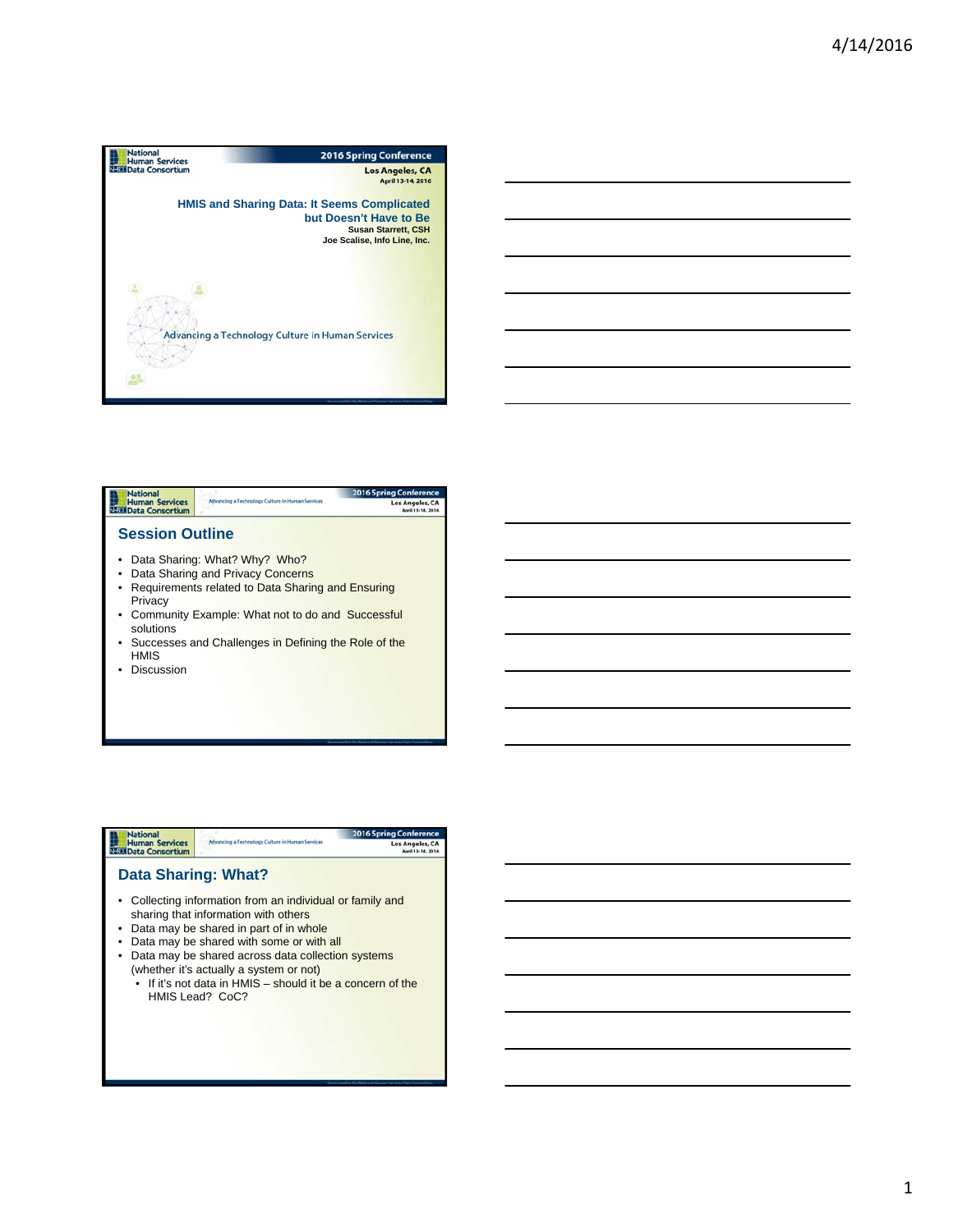



- Privacy
- Community Example: What not to do and Successful solutions
- Successes and Challenges in Defining the Role of the HMIS
- Discussion

**National**<br>Human Services<br>National Consortium

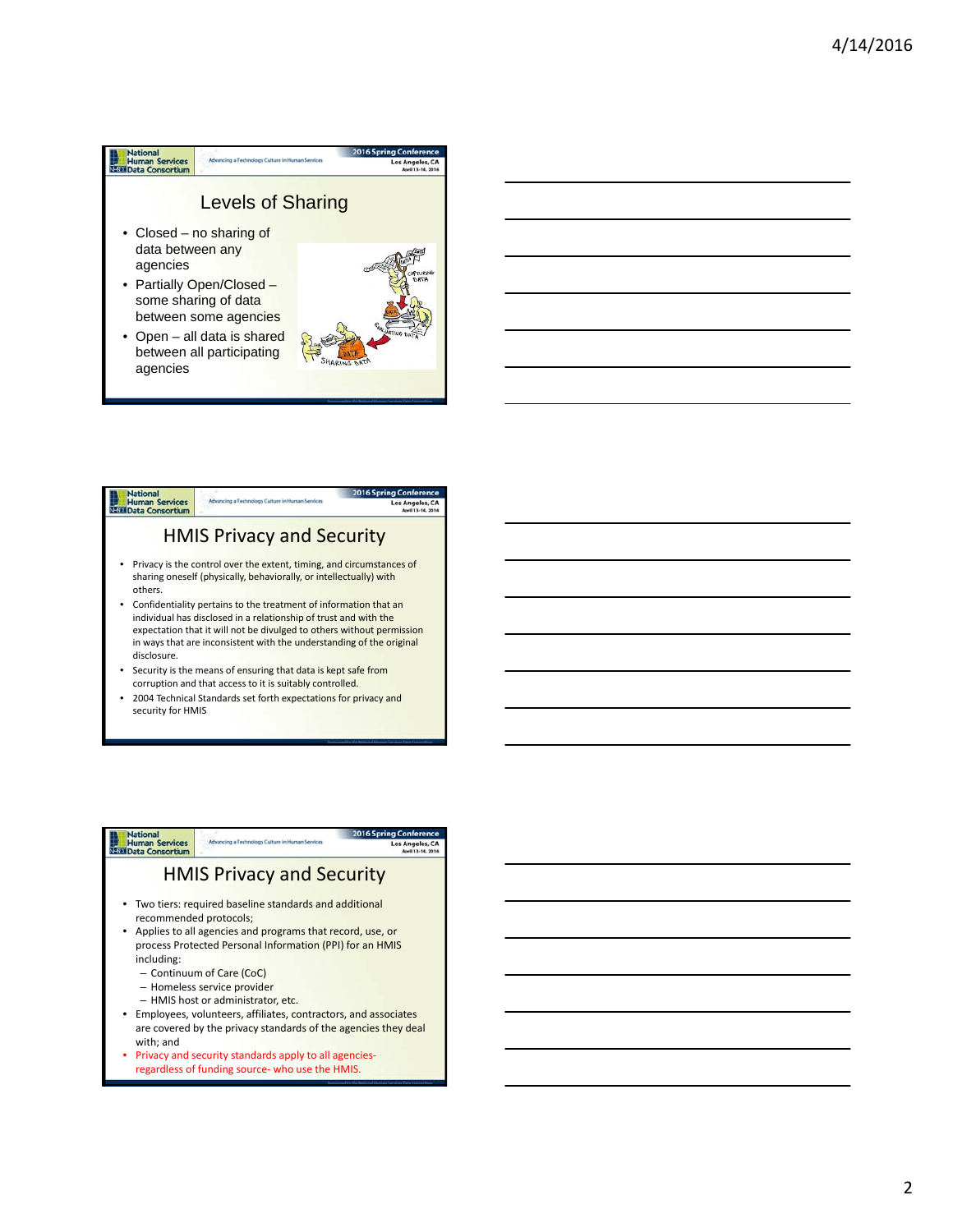## **National**<br> **Human Services**<br> **Nate Data Consortium** Advancing a Technology Culture in Human Sen Levels of Sharing • Closed – no sharing of data between any agencies • Partially Open/Closed some sharing of data

between some agencies • Open – all data is shared between all participating agencies





• 2004 Technical Standards set forth expectations for privacy and security for HMIS

## **National**<br>Human Services<br>Nata Consortium HMIS Privacy and Security • Two tiers: required baseline standards and additional recommended protocols; • Applies to all agencies and programs that record, use, or process Protected Personal Information (PPI) for an HMIS including: – Continuum of Care (CoC) – Homeless service provider – HMIS host or administrator, etc. • Employees, volunteers, affiliates, contractors, and associates are covered by the privacy standards of the agencies they deal

- with; and • Privacy and security standards apply to all agencies‐
	- regardless of funding source‐ who use the HMIS.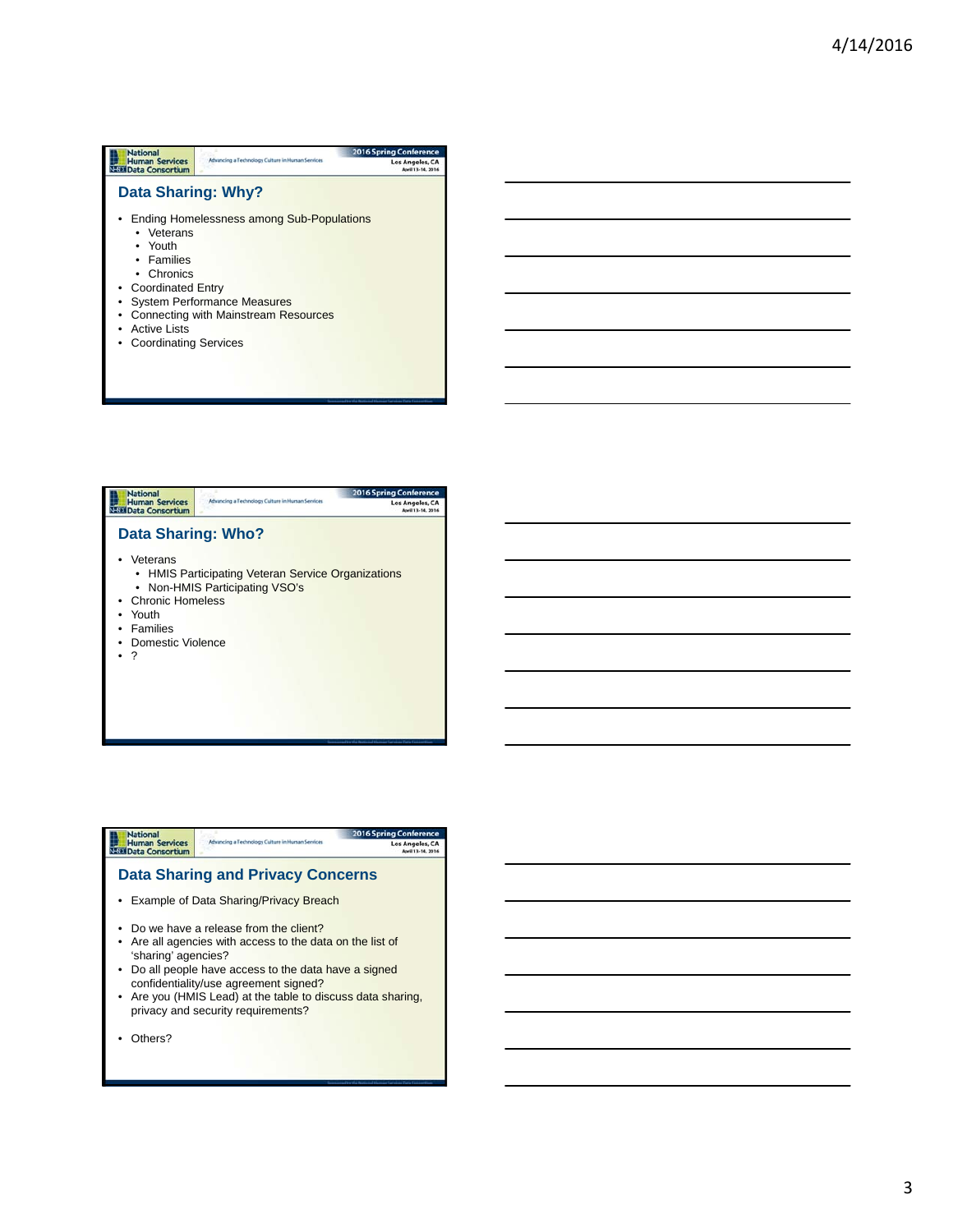| <b>National</b>                                 |                                                  | <b>2016 Spring Conference</b>        |
|-------------------------------------------------|--------------------------------------------------|--------------------------------------|
| <b>Human Services</b><br><b>Data Consortium</b> | Advancing a Technology Culture in Human Services | Los Angeles, CA<br>April 13-14, 2016 |
| Data Sharing: Why?                              |                                                  |                                      |
|                                                 | Ending Homelessness among Sub-Populations        |                                      |
| • Veterans                                      |                                                  |                                      |
| • Youth                                         |                                                  |                                      |
| • Families                                      |                                                  |                                      |
| $\bullet$ Chronics                              |                                                  |                                      |
| • Coordinated Entry                             |                                                  |                                      |
|                                                 | <b>System Performance Measures</b>               |                                      |
|                                                 | <b>Connecting with Mainstream Resources</b>      |                                      |
| Active Lists                                    |                                                  |                                      |
| • Coordinating Services                         |                                                  |                                      |
|                                                 |                                                  |                                      |
|                                                 |                                                  |                                      |



• ?

#### 2016 Spring Conf **National**<br>Human Services<br>Nata Data Consortium Advancing a Technology Culture in Human Services Los Angeles, CA<br>April 13-14, 2016 **Data Sharing and Privacy Concerns** • Example of Data Sharing/Privacy Breach • Do we have a release from the client? • Are all agencies with access to the data on the list of 'sharing' agencies? • Do all people have access to the data have a signed confidentiality/use agreement signed? • Are you (HMIS Lead) at the table to discuss data sharing, privacy and security requirements?

• Others?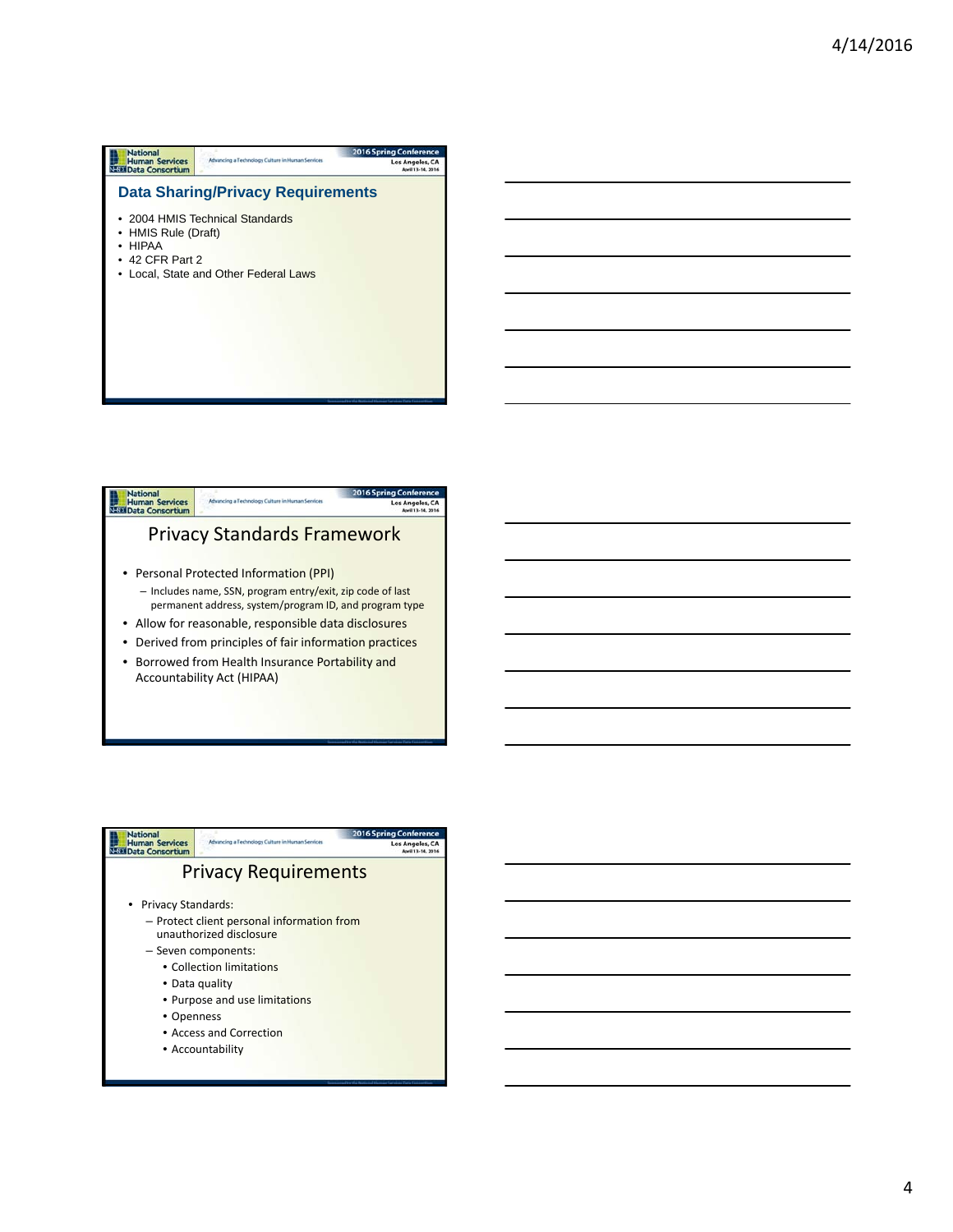| <b>National</b>                                 |                                                  | <b>2016 Spring Conference</b>        |
|-------------------------------------------------|--------------------------------------------------|--------------------------------------|
| <b>Human Services</b><br><b>Data Consortium</b> | Advancing a Technology Culture in Human Services | Los Angeles, CA<br>April 13-14, 2016 |
|                                                 | <b>Data Sharing/Privacy Requirements</b>         |                                      |
|                                                 | • 2004 HMIS Technical Standards                  |                                      |
| • HMIS Rule (Draft)<br><b>HIPAA</b>             |                                                  |                                      |
| 42 CFR Part 2                                   |                                                  |                                      |
|                                                 | Local, State and Other Federal Laws              |                                      |
|                                                 |                                                  |                                      |
|                                                 |                                                  |                                      |
|                                                 |                                                  |                                      |
|                                                 |                                                  |                                      |
|                                                 |                                                  |                                      |
|                                                 |                                                  |                                      |



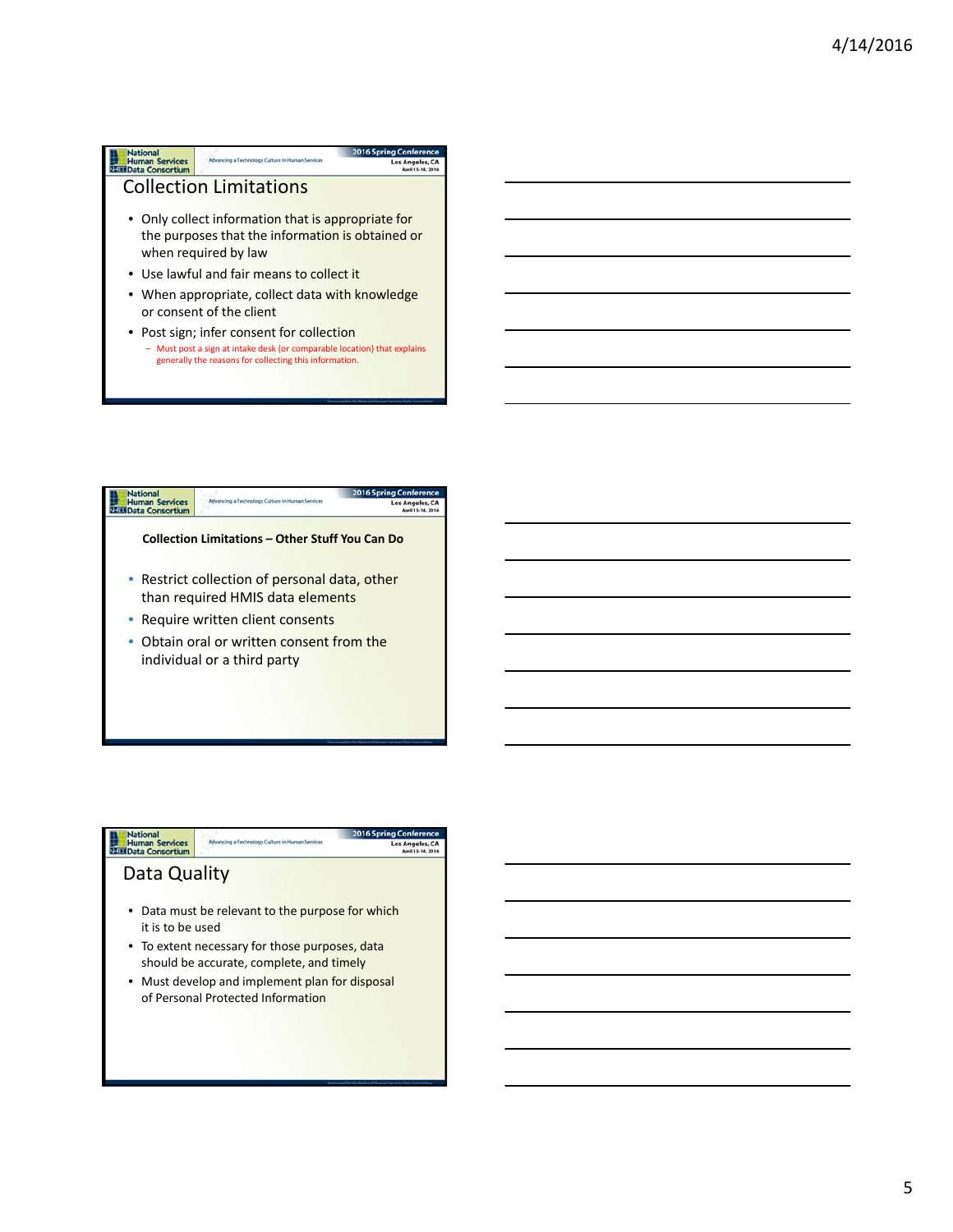### **National**<br> **Human Services**<br> **NEED** Data Consortium 2016 Spring Conf Advancing a Technology Culture in Human Services Los Angeles, CA Collection Limitations • Only collect information that is appropriate for the purposes that the information is obtained or when required by law • Use lawful and fair means to collect it

- When appropriate, collect data with knowledge or consent of the client
- Post sign; infer consent for collection – Must post a sign at intake desk (or comparable location) that explains generally the reasons for collecting this information.



| National                                        | Advancing a Technology Culture in Human Services                                           | Conference<br>2016 Spring |
|-------------------------------------------------|--------------------------------------------------------------------------------------------|---------------------------|
| <b>Human Services</b><br><b>Data Consortium</b> |                                                                                            | <b>Los Angeles, CA</b>    |
| Data Quality                                    |                                                                                            |                           |
| it is to be used                                | • Data must be relevant to the purpose for which                                           |                           |
|                                                 | • To extent necessary for those purposes, data<br>should be accurate, complete, and timely |                           |
|                                                 | • Must develop and implement plan for disposal<br>of Personal Protected Information        |                           |
|                                                 |                                                                                            |                           |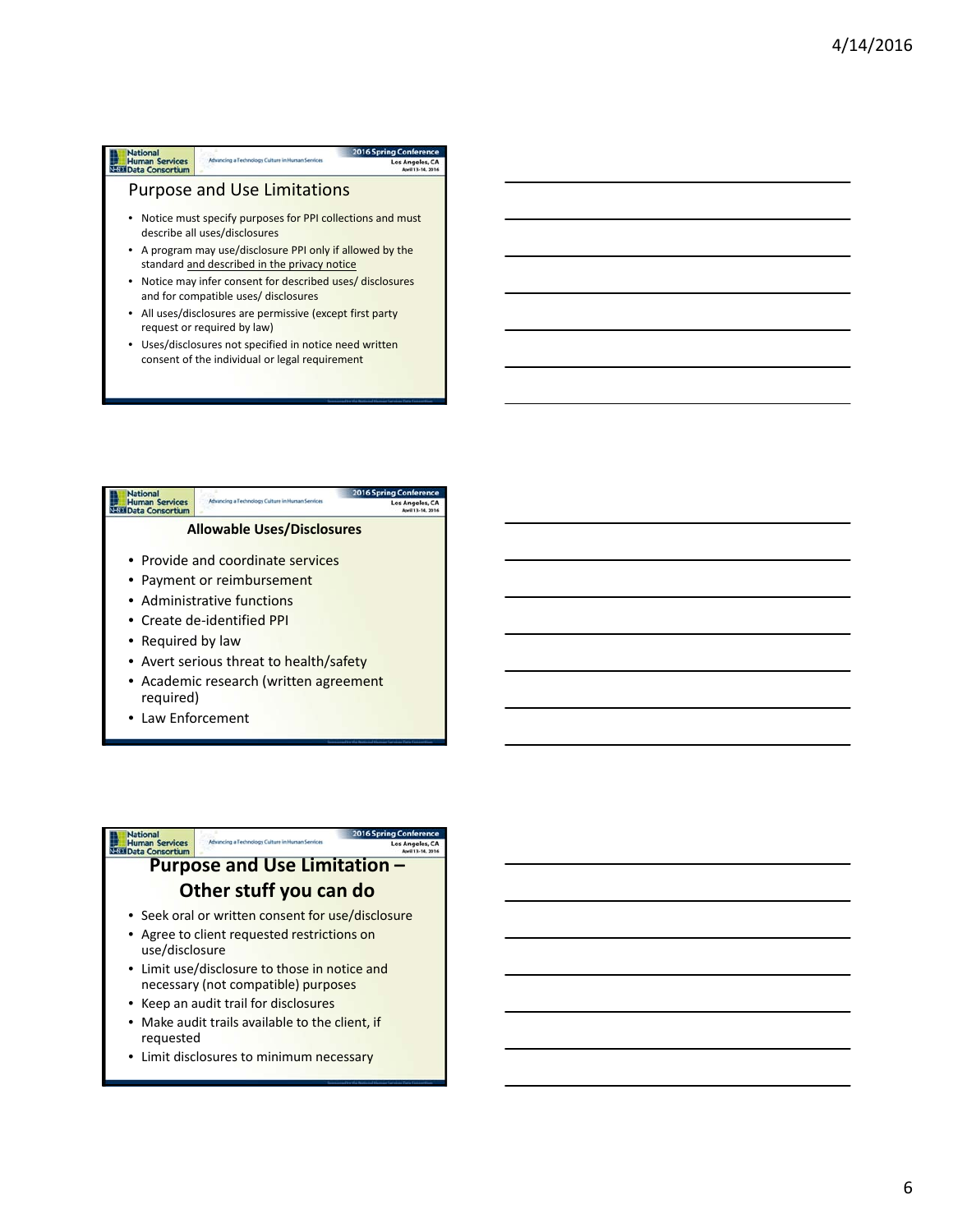### **National**<br>
Human Services<br>
Nata Consortium Advancing a Technology Culture in Human S Los Ange Purpose and Use Limitations • Notice must specify purposes for PPI collections and must describe all uses/disclosures • A program may use/disclosure PPI only if allowed by the standard and described in the privacy notice

- Notice may infer consent for described uses/ disclosures and for compatible uses/ disclosures
- All uses/disclosures are permissive (except first party request or required by law)
- Uses/disclosures not specified in notice need written consent of the individual or legal requirement



• Law Enforcement

# **Purpose and District Construction Purpose and Use Limitation Other stuff you can do**

- Seek oral or written consent for use/disclosure
- Agree to client requested restrictions on use/disclosure
- Limit use/disclosure to those in notice and necessary (not compatible) purposes
- Keep an audit trail for disclosures
- Make audit trails available to the client, if requested
- Limit disclosures to minimum necessary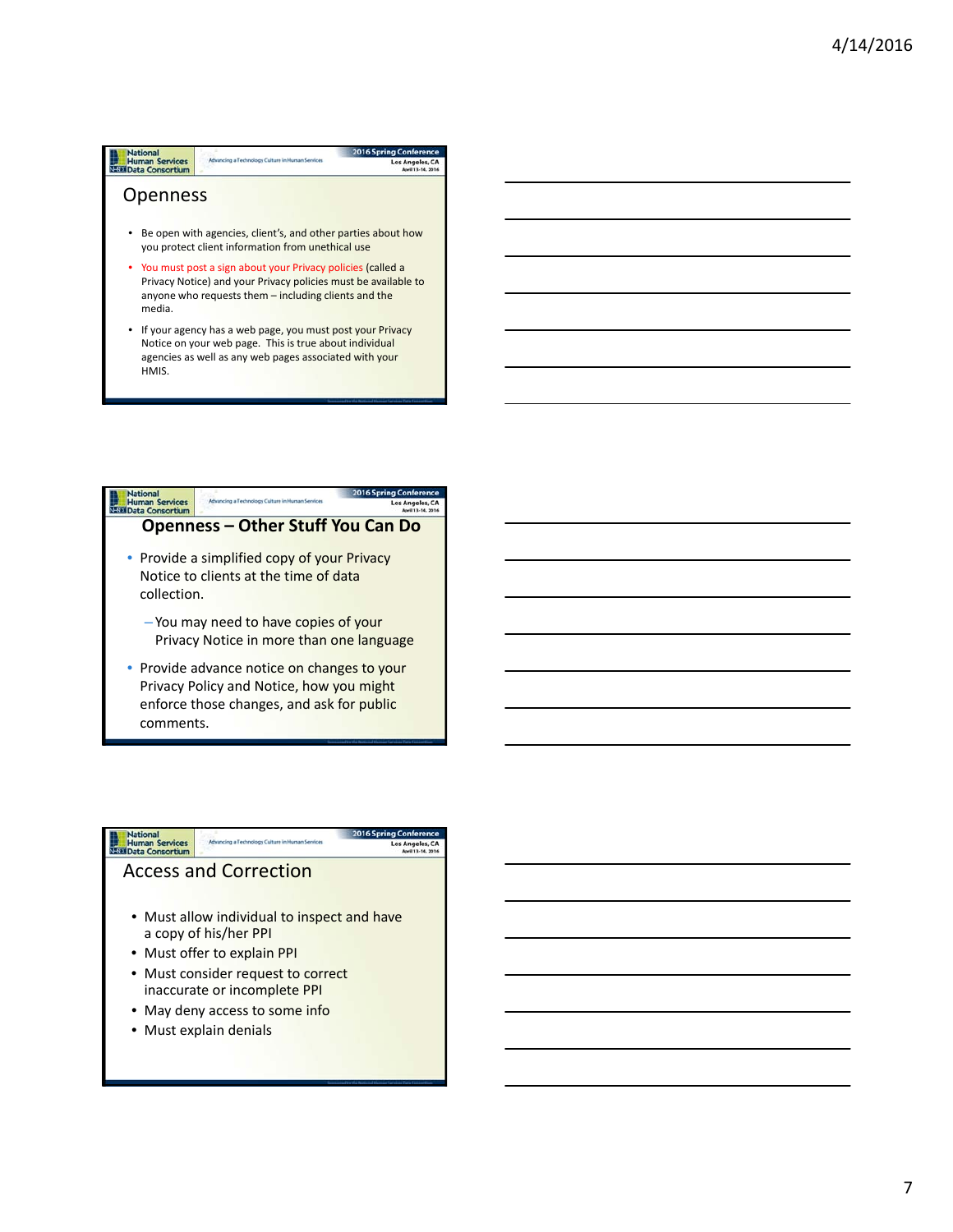## **National**<br>**With Human Services**<br>With Data Consortium Los Ange **Openness** • Be open with agencies, client's, and other parties about how you protect client information from unethical use • You must post a sign about your Privacy policies (called a Privacy Notice) and your Privacy policies must be available to anyone who requests them – including clients and the media. • If your agency has a web page, you must post your Privacy Notice on your web page. This is true about individual agencies as well as any web pages associated with your HMIS.



Privacy Policy and Notice, how you might enforce those changes, and ask for public comments.

# National<br>Human Services<br>Nati Data Consortium

## Access and Correction

• Must allow individual to inspect and have a copy of his/her PPI

Los Angeles, CA<br>April 13-14, 2016

- Must offer to explain PPI
- Must consider request to correct inaccurate or incomplete PPI
- May deny access to some info
- Must explain denials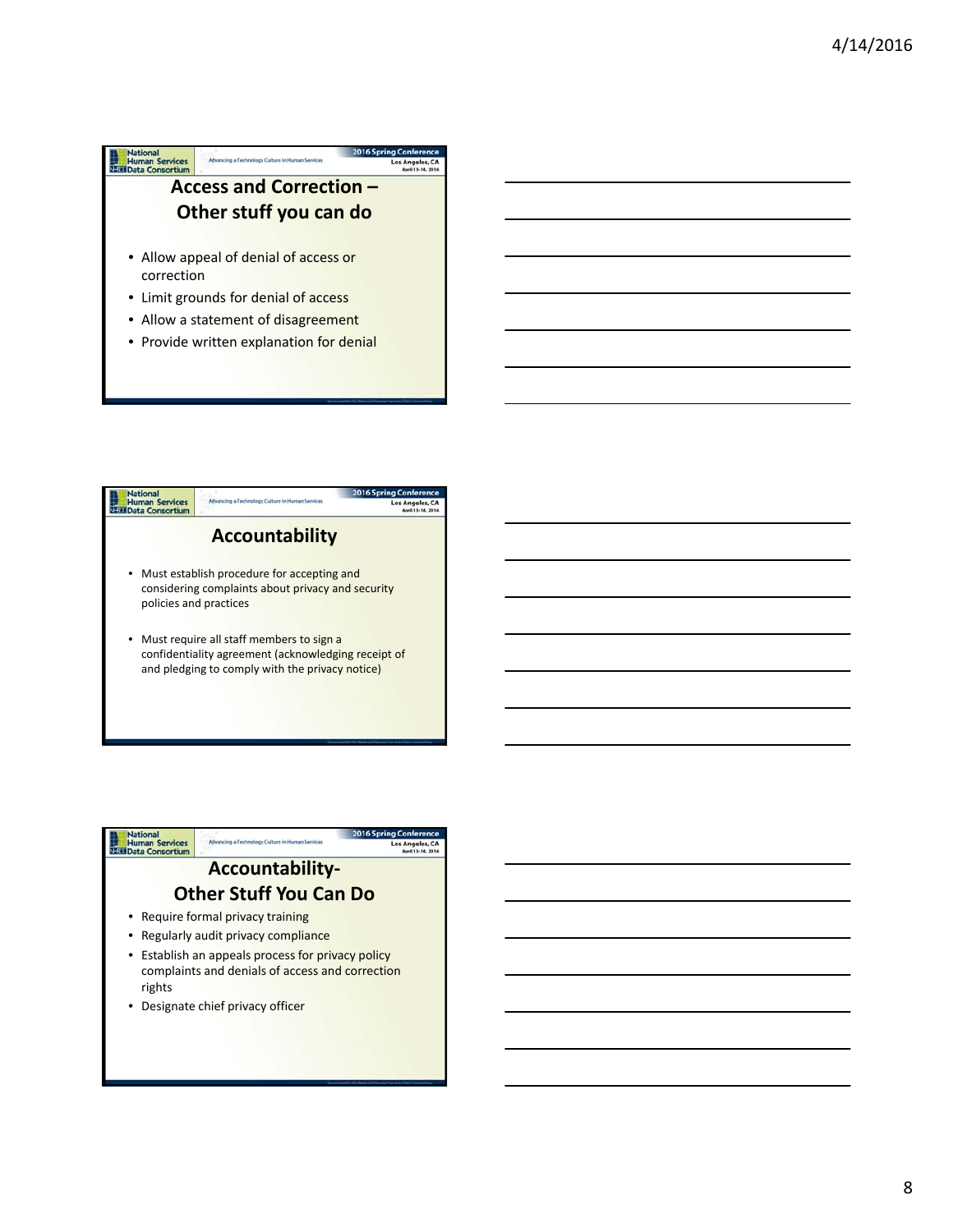

• Provide written explanation for denial





- Establish an appeals process for privacy policy complaints and denials of access and correction rights
- Designate chief privacy officer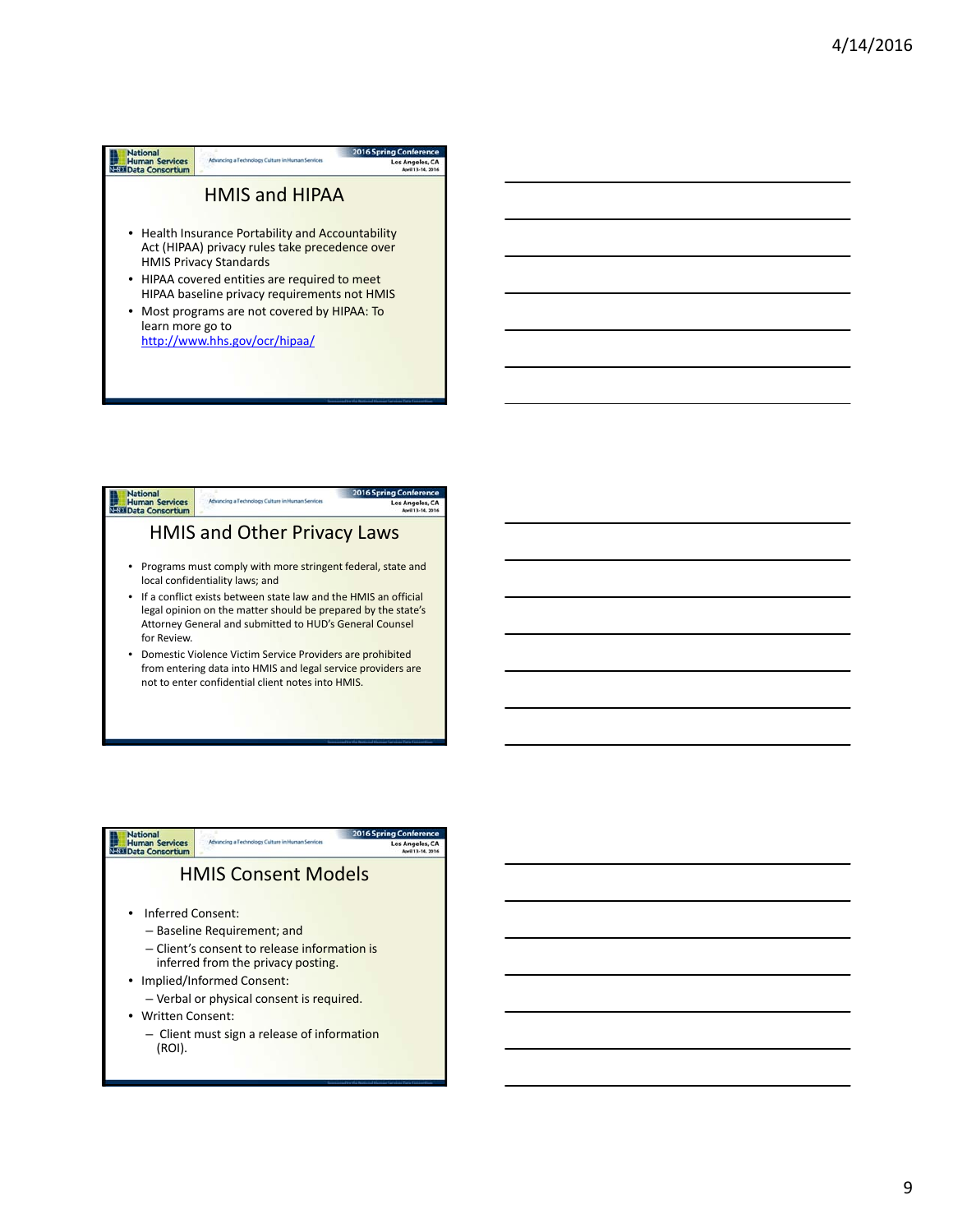| Jationa                                         |                                                   | <b>2016 Spring Conference</b> |
|-------------------------------------------------|---------------------------------------------------|-------------------------------|
| <b>Human Services</b><br><b>Data Consortium</b> | Advancing a Technology Culture in Human Services  | Los Angeles, CA               |
|                                                 |                                                   |                               |
| <b>HMIS and HIPAA</b>                           |                                                   |                               |
|                                                 |                                                   |                               |
|                                                 |                                                   |                               |
|                                                 | • Health Insurance Portability and Accountability |                               |
| Act (HIPAA) privacy rules take precedence over  |                                                   |                               |
| <b>HMIS Privacy Standards</b>                   |                                                   |                               |
| • HIPAA covered entities are required to meet   |                                                   |                               |
| HIPAA baseline privacy requirements not HMIS    |                                                   |                               |
|                                                 |                                                   |                               |
| Most programs are not covered by HIPAA: To      |                                                   |                               |
| learn more go to                                |                                                   |                               |
| http://www.hhs.gov/ocr/hipaa/                   |                                                   |                               |
|                                                 |                                                   |                               |
|                                                 |                                                   |                               |





– Client must sign a release of information (ROI).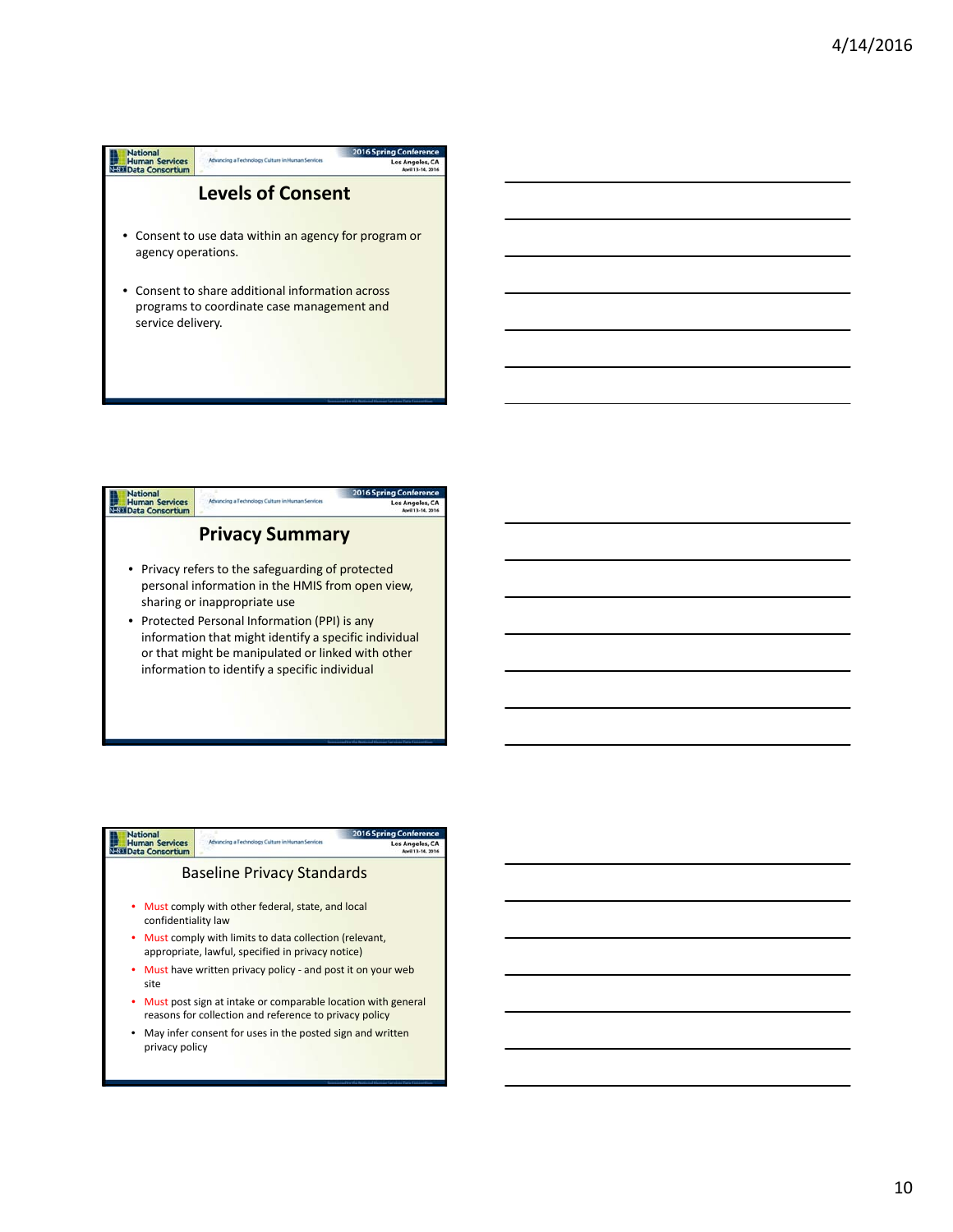| <b>National</b><br><b>Human Services</b>                                                                          | Advancing a Technology Culture in Human Services      | <b>2016 Spring Conference</b><br><b>Los Angeles, CA</b> |
|-------------------------------------------------------------------------------------------------------------------|-------------------------------------------------------|---------------------------------------------------------|
| <b>Data Consortium</b>                                                                                            |                                                       | April 13-14, 2016                                       |
| <b>Levels of Consent</b>                                                                                          |                                                       |                                                         |
| agency operations.                                                                                                | • Consent to use data within an agency for program or |                                                         |
| Consent to share additional information across<br>programs to coordinate case management and<br>service delivery. |                                                       |                                                         |



| <b>Nationa</b>                                                                                                           |                                                             | <b>2016 Spring Conference</b> |
|--------------------------------------------------------------------------------------------------------------------------|-------------------------------------------------------------|-------------------------------|
| <b>Human Services</b><br><b>Data Consortium</b>                                                                          | Advancing a Technology Culture in Human Services            | Los Angeles, CA               |
| <b>Baseline Privacy Standards</b>                                                                                        |                                                             |                               |
| confidentiality law                                                                                                      | • Must comply with other federal, state, and local          |                               |
| • Must comply with limits to data collection (relevant,<br>appropriate, lawful, specified in privacy notice)             |                                                             |                               |
| • Must have written privacy policy - and post it on your web<br>site                                                     |                                                             |                               |
| • Must post sign at intake or comparable location with general<br>reasons for collection and reference to privacy policy |                                                             |                               |
| privacy policy                                                                                                           | • May infer consent for uses in the posted sign and written |                               |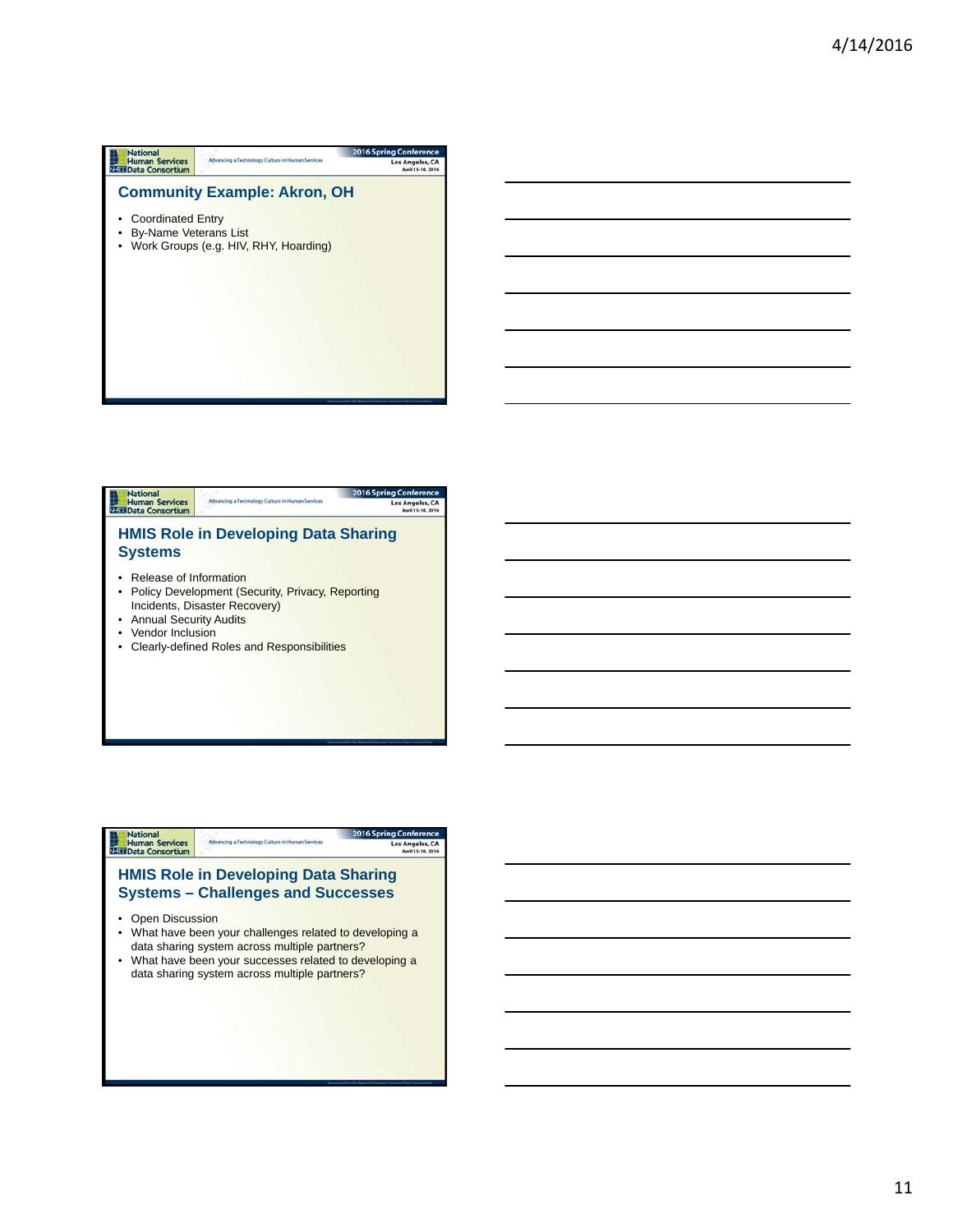| <b>National</b>                          |                                                  | <b>2016 Spring Conference</b>        |
|------------------------------------------|--------------------------------------------------|--------------------------------------|
| <b>Human Services</b><br>Data Consortium | Advancing a Technology Culture in Human Services | Los Angeles, CA<br>April 13-14, 2016 |
| <b>Coordinated Entry</b>                 | <b>Community Example: Akron, OH</b>              |                                      |
| <b>By-Name Veterans List</b>             | Work Groups (e.g. HIV, RHY, Hoarding)            |                                      |
|                                          |                                                  |                                      |
|                                          |                                                  |                                      |
|                                          |                                                  |                                      |